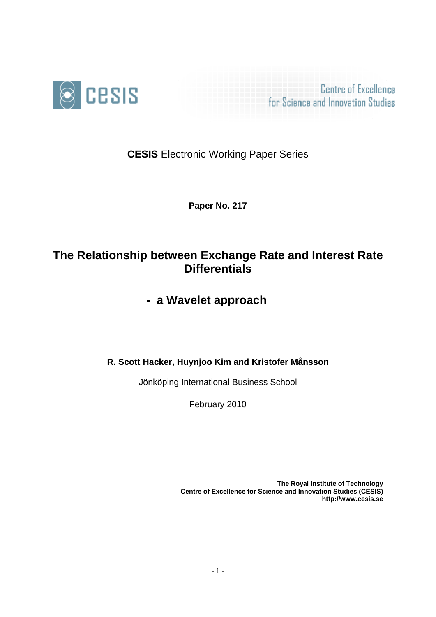

**Centre of Excellence** for Science and Innovation Studies

**CESIS** Electronic Working Paper Series

**Paper No. 217**

# **The Relationship between Exchange Rate and Interest Rate Differentials**

**- a Wavelet approach** 

**R. Scott Hacker, Huynjoo Kim and Kristofer Månsson**

Jönköping International Business School

February 2010

**The Royal Institute of Technology Centre of Excellence for Science and Innovation Studies (CESIS) http://www.cesis.se**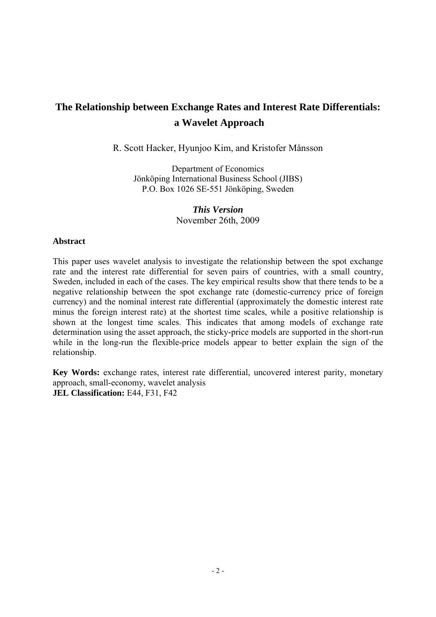# **The Relationship between Exchange Rates and Interest Rate Differentials: a Wavelet Approach**

R. Scott Hacker, Hyunjoo Kim, and Kristofer Månsson

Department of Economics Jönköping International Business School (JIBS) P.O. Box 1026 SE-551 Jönköping, Sweden

> *This Version*  November 26th, 2009

## **Abstract**

This paper uses wavelet analysis to investigate the relationship between the spot exchange rate and the interest rate differential for seven pairs of countries, with a small country, Sweden, included in each of the cases. The key empirical results show that there tends to be a negative relationship between the spot exchange rate (domestic-currency price of foreign currency) and the nominal interest rate differential (approximately the domestic interest rate minus the foreign interest rate) at the shortest time scales, while a positive relationship is shown at the longest time scales. This indicates that among models of exchange rate determination using the asset approach, the sticky-price models are supported in the short-run while in the long-run the flexible-price models appear to better explain the sign of the relationship.

**Key Words:** exchange rates, interest rate differential, uncovered interest parity, monetary approach, small-economy, wavelet analysis **JEL Classification:** E44, F31, F42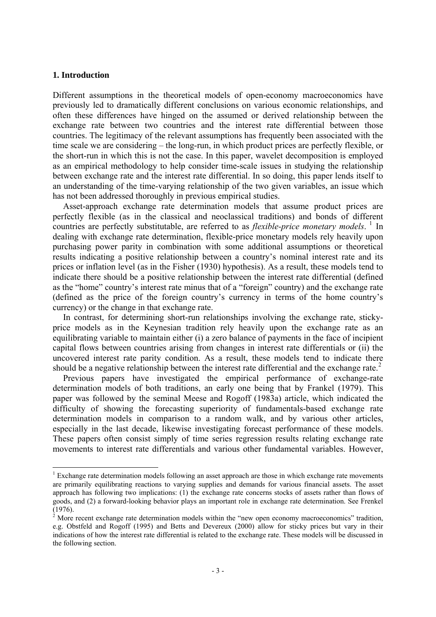### **1. Introduction**

<u>.</u>

Different assumptions in the theoretical models of open-economy macroeconomics have previously led to dramatically different conclusions on various economic relationships, and often these differences have hinged on the assumed or derived relationship between the exchange rate between two countries and the interest rate differential between those countries. The legitimacy of the relevant assumptions has frequently been associated with the time scale we are considering – the long-run, in which product prices are perfectly flexible, or the short-run in which this is not the case. In this paper, wavelet decomposition is employed as an empirical methodology to help consider time-scale issues in studying the relationship between exchange rate and the interest rate differential. In so doing, this paper lends itself to an understanding of the time-varying relationship of the two given variables, an issue which has not been addressed thoroughly in previous empirical studies.

Asset-approach exchange rate determination models that assume product prices are perfectly flexible (as in the classical and neoclassical traditions) and bonds of different countries are perfectly substitutable, are referred to as *flexible-price monetary models*. <sup>[1](#page-2-0)</sup> In dealing with exchange rate determination, flexible-price monetary models rely heavily upon purchasing power parity in combination with some additional assumptions or theoretical results indicating a positive relationship between a country's nominal interest rate and its prices or inflation level (as in the Fisher (1930) hypothesis). As a result, these models tend to indicate there should be a positive relationship between the interest rate differential (defined as the "home" country's interest rate minus that of a "foreign" country) and the exchange rate (defined as the price of the foreign country's currency in terms of the home country's currency) or the change in that exchange rate.

In contrast, for determining short-run relationships involving the exchange rate, stickyprice models as in the Keynesian tradition rely heavily upon the exchange rate as an equilibrating variable to maintain either (i) a zero balance of payments in the face of incipient capital flows between countries arising from changes in interest rate differentials or (ii) the uncovered interest rate parity condition. As a result, these models tend to indicate there should be a negative relationship between the interest rate differential and the exchange rate. $2$ 

Previous papers have investigated the empirical performance of exchange-rate determination models of both traditions, an early one being that by Frankel (1979). This paper was followed by the seminal Meese and Rogoff (1983a) article, which indicated the difficulty of showing the forecasting superiority of fundamentals-based exchange rate determination models in comparison to a random walk, and by various other articles, especially in the last decade, likewise investigating forecast performance of these models. These papers often consist simply of time series regression results relating exchange rate movements to interest rate differentials and various other fundamental variables. However,

<span id="page-2-0"></span><sup>&</sup>lt;sup>1</sup> Exchange rate determination models following an asset approach are those in which exchange rate movements are primarily equilibrating reactions to varying supplies and demands for various financial assets. The asset approach has following two implications: (1) the exchange rate concerns stocks of assets rather than flows of goods, and (2) a forward-looking behavior plays an important role in exchange rate determination. See Frenkel (1976).

<span id="page-2-1"></span> $2^{2}$  More recent exchange rate determination models within the "new open economy macroeconomics" tradition, e.g. Obstfeld and Rogoff (1995) and Betts and Devereux (2000) allow for sticky prices but vary in their indications of how the interest rate differential is related to the exchange rate. These models will be discussed in the following section.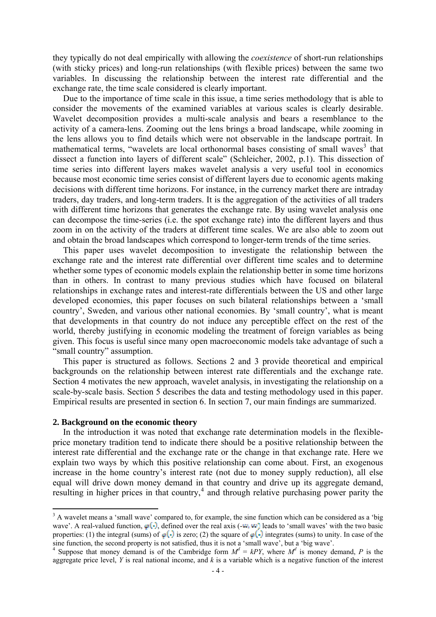they typically do not deal empirically with allowing the *coexistence* of short-run relationships (with sticky prices) and long-run relationships (with flexible prices) between the same two variables. In discussing the relationship between the interest rate differential and the exchange rate, the time scale considered is clearly important.

Due to the importance of time scale in this issue, a time series methodology that is able to consider the movements of the examined variables at various scales is clearly desirable. Wavelet decomposition provides a multi-scale analysis and bears a resemblance to the activity of a camera-lens. Zooming out the lens brings a broad landscape, while zooming in the lens allows you to find details which were not observable in the landscape portrait. In mathematical terms, "wavelets are local orthonormal bases consisting of small waves<sup>[3](#page-3-0)</sup> that dissect a function into layers of different scale" (Schleicher, 2002, p.1). This dissection of time series into different layers makes wavelet analysis a very useful tool in economics because most economic time series consist of different layers due to economic agents making decisions with different time horizons. For instance, in the currency market there are intraday traders, day traders, and long-term traders. It is the aggregation of the activities of all traders with different time horizons that generates the exchange rate. By using wavelet analysis one can decompose the time-series (i.e. the spot exchange rate) into the different layers and thus zoom in on the activity of the traders at different time scales. We are also able to zoom out and obtain the broad landscapes which correspond to longer-term trends of the time series.

This paper uses wavelet decomposition to investigate the relationship between the exchange rate and the interest rate differential over different time scales and to determine whether some types of economic models explain the relationship better in some time horizons than in others. In contrast to many previous studies which have focused on bilateral relationships in exchange rates and interest-rate differentials between the US and other large developed economies, this paper focuses on such bilateral relationships between a 'small country', Sweden, and various other national economies. By 'small country', what is meant that developments in that country do not induce any perceptible effect on the rest of the world, thereby justifying in economic modeling the treatment of foreign variables as being given. This focus is useful since many open macroeconomic models take advantage of such a "small country" assumption.

This paper is structured as follows. Sections 2 and 3 provide theoretical and empirical backgrounds on the relationship between interest rate differentials and the exchange rate. Section 4 motivates the new approach, wavelet analysis, in investigating the relationship on a scale-by-scale basis. Section 5 describes the data and testing methodology used in this paper. Empirical results are presented in section 6. In section 7, our main findings are summarized.

#### **2. Background on the economic theory**

1

In the introduction it was noted that exchange rate determination models in the flexibleprice monetary tradition tend to indicate there should be a positive relationship between the interest rate differential and the exchange rate or the change in that exchange rate. Here we explain two ways by which this positive relationship can come about. First, an exogenous increase in the home country's interest rate (not due to money supply reduction), all else equal will drive down money demand in that country and drive up its aggregate demand, resulting in higher prices in that country, $4$  and through relative purchasing power parity the

<span id="page-3-0"></span> $3$  A wavelet means a 'small wave' compared to, for example, the sine function which can be considered as a 'big wave'. A real-valued function,  $\varphi(\cdot)$ , defined over the real axis (- $\omega$ ,  $\omega$ ) leads to 'small waves' with the two basic properties: (1) the integral (sums) of  $\phi(\cdot)$  is zero; (2) the square of  $\phi(\cdot)$  integrates (sums) to unity. In case of the sine function, the second property is not satisfied, thus it is not a 'small wave', but a 'big wave'.<br><sup>4</sup> Suppose that money demand is of the Cambridge form  $M^d = kPY$ , where  $M^d$  is money demand, P is the

<span id="page-3-1"></span>aggregate price level,  $Y$  is real national income, and  $k$  is a variable which is a negative function of the interest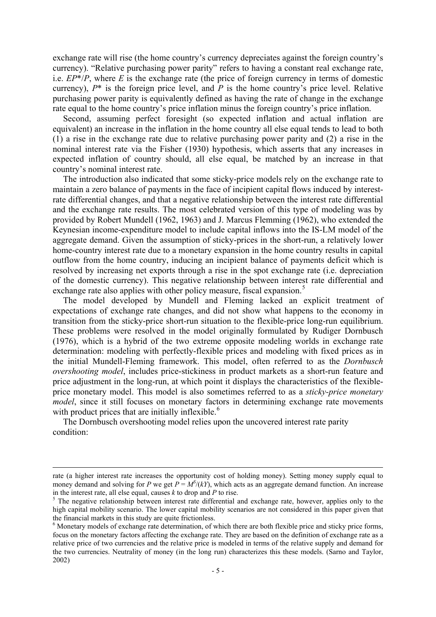exchange rate will rise (the home country's currency depreciates against the foreign country's currency). "Relative purchasing power parity" refers to having a constant real exchange rate, i.e. *EP*\*/*P*, where *E* is the exchange rate (the price of foreign currency in terms of domestic currency),  $P^*$  is the foreign price level, and  $P$  is the home country's price level. Relative purchasing power parity is equivalently defined as having the rate of change in the exchange rate equal to the home country's price inflation minus the foreign country's price inflation.

Second, assuming perfect foresight (so expected inflation and actual inflation are equivalent) an increase in the inflation in the home country all else equal tends to lead to both (1) a rise in the exchange rate due to relative purchasing power parity and (2) a rise in the nominal interest rate via the Fisher (1930) hypothesis, which asserts that any increases in expected inflation of country should, all else equal, be matched by an increase in that country's nominal interest rate.

The introduction also indicated that some sticky-price models rely on the exchange rate to maintain a zero balance of payments in the face of incipient capital flows induced by interestrate differential changes, and that a negative relationship between the interest rate differential and the exchange rate results. The most celebrated version of this type of modeling was by provided by Robert Mundell (1962, 1963) and J. Marcus Flemming (1962), who extended the Keynesian income-expenditure model to include capital inflows into the IS-LM model of the aggregate demand. Given the assumption of sticky-prices in the short-run, a relatively lower home-country interest rate due to a monetary expansion in the home country results in capital outflow from the home country, inducing an incipient balance of payments deficit which is resolved by increasing net exports through a rise in the spot exchange rate (i.e. depreciation of the domestic currency). This negative relationship between interest rate differential and exchange rate also applies with other policy measure, fiscal expansion.<sup>[5](#page-4-0)</sup>

The model developed by Mundell and Fleming lacked an explicit treatment of expectations of exchange rate changes, and did not show what happens to the economy in transition from the sticky-price short-run situation to the flexible-price long-run equilibrium. These problems were resolved in the model originally formulated by Rudiger Dornbusch (1976), which is a hybrid of the two extreme opposite modeling worlds in exchange rate determination: modeling with perfectly-flexible prices and modeling with fixed prices as in the initial Mundell-Fleming framework. This model, often referred to as the *Dornbusch overshooting model*, includes price-stickiness in product markets as a short-run feature and price adjustment in the long-run, at which point it displays the characteristics of the flexibleprice monetary model. This model is also sometimes referred to as a *sticky-price monetary model*, since it still focuses on monetary factors in determining exchange rate movements with product prices that are initially inflexible. $6$ 

The Dornbusch overshooting model relies upon the uncovered interest rate parity condition:

rate (a higher interest rate increases the opportunity cost of holding money). Setting money supply equal to money demand and solving for *P* we get  $P = M^S/(kY)$ , which acts as an aggregate demand function. An increase in the interest rate, all else equal, causes  $k$  to drop and  $P$  to rise.

<span id="page-4-0"></span><sup>&</sup>lt;sup>5</sup> The negative relationship between interest rate differential and exchange rate, however, applies only to the high capital mobility scenario. The lower capital mobility scenarios are not considered in this paper given that the financial markets in this study are quite frictionless.

<span id="page-4-1"></span><sup>&</sup>lt;sup>6</sup> Monetary models of exchange rate determination, of which there are both flexible price and sticky price forms, focus on the monetary factors affecting the exchange rate. They are based on the definition of exchange rate as a relative price of two currencies and the relative price is modeled in terms of the relative supply and demand for the two currencies. Neutrality of money (in the long run) characterizes this these models. (Sarno and Taylor, 2002)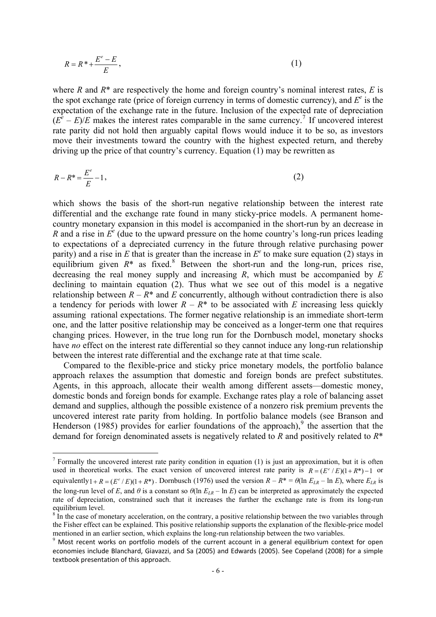$$
R = R^* + \frac{E^e - E}{E},\tag{1}
$$

where *R* and *R*\* are respectively the home and foreign country's nominal interest rates, *E* is the spot exchange rate (price of foreign currency in terms of domestic currency), and  $E^e$  is the expectation of the exchange rate in the future. Inclusion of the expected rate of depreciation  $(E^e - E)/E$  makes the interest rates comparable in the same currency.<sup>[7](#page-5-0)</sup> If uncovered interest rate parity did not hold then arguably capital flows would induce it to be so, as investors move their investments toward the country with the highest expected return, and thereby driving up the price of that country's currency. Equation (1) may be rewritten as

$$
R - R^* = \frac{E^e}{E} - 1,
$$
\n(2)

which shows the basis of the short-run negative relationship between the interest rate differential and the exchange rate found in many sticky-price models. A permanent homecountry monetary expansion in this model is accompanied in the short-run by an decrease in *R* and a rise in  $E^e$  (due to the upward pressure on the home country's long-run prices leading to expectations of a depreciated currency in the future through relative purchasing power parity) and a rise in  $E$  that is greater than the increase in  $E^e$  to make sure equation (2) stays in equilibrium given  $R^*$  as fixed.<sup>[8](#page-5-1)</sup> Between the short-run and the long-run, prices rise, decreasing the real money supply and increasing *R*, which must be accompanied by *E* declining to maintain equation (2). Thus what we see out of this model is a negative relationship between  $R - R^*$  and *E* concurrently, although without contradiction there is also a tendency for periods with lower  $R - R^*$  to be associated with *E* increasing less quickly assuming rational expectations. The former negative relationship is an immediate short-term one, and the latter positive relationship may be conceived as a longer-term one that requires changing prices. However, in the true long run for the Dornbusch model, monetary shocks have *no* effect on the interest rate differential so they cannot induce any long-run relationship between the interest rate differential and the exchange rate at that time scale.

 Compared to the flexible-price and sticky price monetary models, the portfolio balance approach relaxes the assumption that domestic and foreign bonds are prefect substitutes. Agents, in this approach, allocate their wealth among different assets—domestic money, domestic bonds and foreign bonds for example. Exchange rates play a role of balancing asset demand and supplies, although the possible existence of a nonzero risk premium prevents the uncovered interest rate parity from holding. In portfolio balance models (see Branson and Henderson (1[9](#page-5-2)85) provides for earlier foundations of the approach),<sup>9</sup> the assertion that the demand for foreign denominated assets is negatively related to *R* and positively related to *R*<sup>\*</sup>

1

<span id="page-5-0"></span><sup>&</sup>lt;sup>7</sup> Formally the uncovered interest rate parity condition in equation (1) is just an approximation, but it is often used in theoretical works. The exact version of uncovered interest rate parity is  $R = (E^e/E)(1 + R^*)-1$  or equivalently  $1 + R = (E^e / E)(1 + R^*)$ . Dornbusch (1976) used the version  $R - R^* = \theta(\ln E_{LR} - \ln E)$ , where  $E_{LR}$  is the long-run level of *E*, and  $\theta$  is a constant so  $\theta$ (ln  $E_{LR}$  – ln *E*) can be interpreted as approximately the expected rate of depreciation, constrained such that it increases the further the exchange rate is from its long-run equilibrium level.<br><sup>8</sup> In the case of monetary acceleration, on the contrary, a positive relationship between the two variables through

<span id="page-5-1"></span>the Fisher effect can be explained. This positive relationship supports the explanation of the flexible-price model<br>mentioned in an earlier section, which explains the long-run relationship between the two variables.

<span id="page-5-2"></span> $9$  Most recent works on portfolio models of the current account in a general equilibrium context for open economies include Blanchard, Giavazzi, and Sa (2005) and Edwards (2005). See Copeland (2008) for a simple textbook presentation of this approach.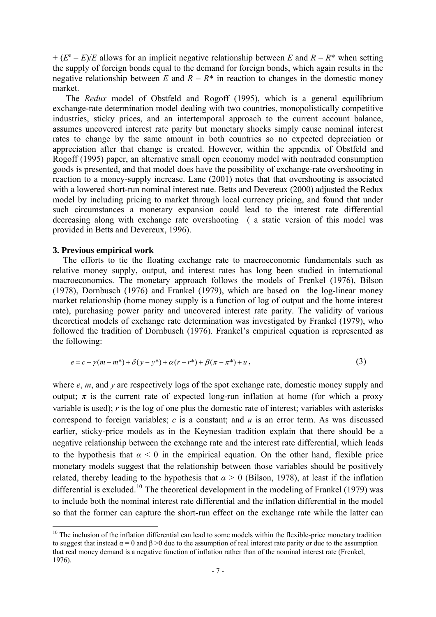$+(E^e - E)/E$  allows for an implicit negative relationship between *E* and *R* – *R*<sup>\*</sup> when setting the supply of foreign bonds equal to the demand for foreign bonds, which again results in the negative relationship between *E* and  $R - R^*$  in reaction to changes in the domestic money market.

 The *Redux* model of Obstfeld and Rogoff (1995), which is a general equilibrium exchange-rate determination model dealing with two countries, monopolistically competitive industries, sticky prices, and an intertemporal approach to the current account balance, assumes uncovered interest rate parity but monetary shocks simply cause nominal interest rates to change by the same amount in both countries so no expected depreciation or appreciation after that change is created. However, within the appendix of Obstfeld and Rogoff (1995) paper, an alternative small open economy model with nontraded consumption goods is presented, and that model does have the possibility of exchange-rate overshooting in reaction to a money-supply increase. Lane (2001) notes that that overshooting is associated with a lowered short-run nominal interest rate. Betts and Devereux (2000) adjusted the Redux model by including pricing to market through local currency pricing, and found that under such circumstances a monetary expansion could lead to the interest rate differential decreasing along with exchange rate overshooting ( a static version of this model was provided in Betts and Devereux, 1996).

#### **3. Previous empirical work**

<u>.</u>

The efforts to tie the floating exchange rate to macroeconomic fundamentals such as relative money supply, output, and interest rates has long been studied in international macroeconomics. The monetary approach follows the models of Frenkel (1976), Bilson (1978), Dornbusch (1976) and Frankel (1979), which are based on the log-linear money market relationship (home money supply is a function of log of output and the home interest rate), purchasing power parity and uncovered interest rate parity. The validity of various theoretical models of exchange rate determination was investigated by Frankel (1979), who followed the tradition of Dornbusch (1976). Frankel's empirical equation is represented as the following:

$$
e = c + \gamma(m - m^*) + \delta(y - y^*) + \alpha(r - r^*) + \beta(\pi - \pi^*) + u,
$$
\n(3)

where *e*, *m*, and *y* are respectively logs of the spot exchange rate, domestic money supply and output;  $\pi$  is the current rate of expected long-run inflation at home (for which a proxy variable is used); *r* is the log of one plus the domestic rate of interest; variables with asterisks correspond to foreign variables; *c* is a constant; and *u* is an error term. As was discussed earlier, sticky-price models as in the Keynesian tradition explain that there should be a negative relationship between the exchange rate and the interest rate differential, which leads to the hypothesis that  $\alpha$  < 0 in the empirical equation. On the other hand, flexible price monetary models suggest that the relationship between those variables should be positively related, thereby leading to the hypothesis that  $\alpha > 0$  (Bilson, 1978), at least if the inflation differential is excluded.<sup>[10](#page-6-0)</sup> The theoretical development in the modeling of Frankel (1979) was to include both the nominal interest rate differential and the inflation differential in the model so that the former can capture the short-run effect on the exchange rate while the latter can

<span id="page-6-0"></span> $10$  The inclusion of the inflation differential can lead to some models within the flexible-price monetary tradition to suggest that instead  $\alpha = 0$  and  $\beta > 0$  due to the assumption of real interest rate parity or due to the assumption that real money demand is a negative function of inflation rather than of the nominal interest rate (Frenkel, 1976).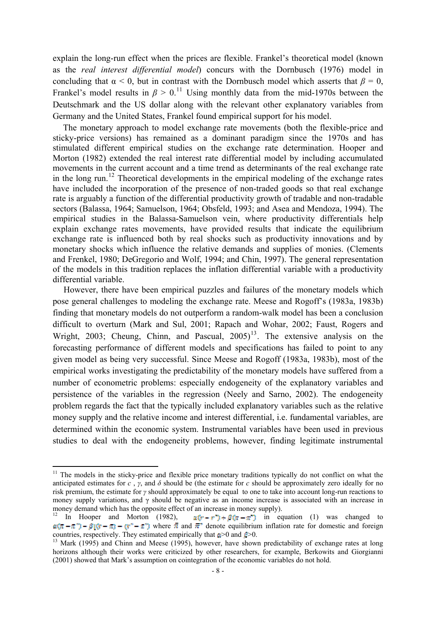explain the long-run effect when the prices are flexible. Frankel's theoretical model (known as the *real interest differential model*) concurs with the Dornbusch (1976) model in concluding that  $\alpha$  < 0, but in contrast with the Dornbusch model which asserts that  $\beta$  = 0, Frankel's model results in  $\beta > 0$ .<sup>[11](#page-7-0)</sup> Using monthly data from the mid-1970s between the Deutschmark and the US dollar along with the relevant other explanatory variables from Germany and the United States, Frankel found empirical support for his model.

The monetary approach to model exchange rate movements (both the flexible-price and sticky-price versions) has remained as a dominant paradigm since the 1970s and has stimulated different empirical studies on the exchange rate determination. Hooper and Morton (1982) extended the real interest rate differential model by including accumulated movements in the current account and a time trend as determinants of the real exchange rate in the long run.<sup>[12](#page-7-1)</sup> Theoretical developments in the empirical modeling of the exchange rates have included the incorporation of the presence of non-traded goods so that real exchange rate is arguably a function of the differential productivity growth of tradable and non-tradable sectors (Balassa, 1964; Samuelson, 1964; Obsfeld, 1993; and Asea and Mendoza, 1994). The empirical studies in the Balassa-Samuelson vein, where productivity differentials help explain exchange rates movements, have provided results that indicate the equilibrium exchange rate is influenced both by real shocks such as productivity innovations and by monetary shocks which influence the relative demands and supplies of monies. (Clements and Frenkel, 1980; DeGregorio and Wolf, 1994; and Chin, 1997). The general representation of the models in this tradition replaces the inflation differential variable with a productivity differential variable.

 However, there have been empirical puzzles and failures of the monetary models which pose general challenges to modeling the exchange rate. Meese and Rogoff's (1983a, 1983b) finding that monetary models do not outperform a random-walk model has been a conclusion difficult to overturn (Mark and Sul, 2001; Rapach and Wohar, 2002; Faust, Rogers and Wright, 2003; Cheung, Chinn, and Pascual,  $2005$ <sup>[13](#page-7-2)</sup>. The extensive analysis on the forecasting performance of different models and specifications has failed to point to any given model as being very successful. Since Meese and Rogoff (1983a, 1983b), most of the empirical works investigating the predictability of the monetary models have suffered from a number of econometric problems: especially endogeneity of the explanatory variables and persistence of the variables in the regression (Neely and Sarno, 2002). The endogeneity problem regards the fact that the typically included explanatory variables such as the relative money supply and the relative income and interest differential, i.e. fundamental variables, are determined within the economic system. Instrumental variables have been used in previous studies to deal with the endogeneity problems, however, finding legitimate instrumental

1

<span id="page-7-0"></span><sup>&</sup>lt;sup>11</sup> The models in the sticky-price and flexible price monetary traditions typically do not conflict on what the anticipated estimates for *c*, *γ*, and  $\delta$  should be (the estimate for *c* should be approximately zero ideally for no risk premium, the estimate for *γ* should approximately be equal to one to take into account long-run reactions to money supply variations, and  $\gamma$  should be negative as an income increase is associated with an increase in money demand which has the opposite effect of an increase in money supply).<br><sup>12</sup> In Hooper and Morton (1982),  $\pi(r - r^2) + \beta(\pi - \pi^2)$  in ec

<span id="page-7-1"></span> $\pi(r-r^2) + \beta(r-r^2)$  in equation (1) was changed to  $\alpha(\pi - \pi) - \beta(\pi - \pi) - \alpha^* - \pi$  where  $\pi$  and  $\pi^*$  denote equilibrium inflation rate for domestic and foreign countries, respectively. They estimated empirically that  $\alpha > 0$  and  $\beta > 0$ .

<span id="page-7-2"></span><sup>&</sup>lt;sup>13</sup> Mark (1995) and Chinn and Meese (1995), however, have shown predictability of exchange rates at long horizons although their works were criticized by other researchers, for example, Berkowits and Giorgianni (2001) showed that Mark's assumption on cointegration of the economic variables do not hold.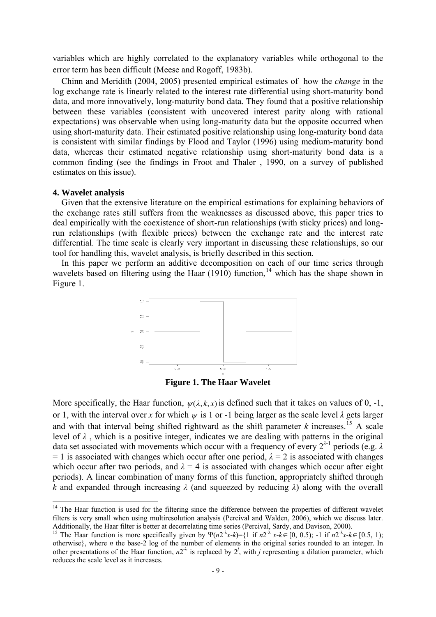variables which are highly correlated to the explanatory variables while orthogonal to the error term has been difficult (Meese and Rogoff, 1983b).

 Chinn and Meridith (2004, 2005) presented empirical estimates of how the *change* in the log exchange rate is linearly related to the interest rate differential using short-maturity bond data, and more innovatively, long-maturity bond data. They found that a positive relationship between these variables (consistent with uncovered interest parity along with rational expectations) was observable when using long-maturity data but the opposite occurred when using short-maturity data. Their estimated positive relationship using long-maturity bond data is consistent with similar findings by Flood and Taylor (1996) using medium-maturity bond data, whereas their estimated negative relationship using short-maturity bond data is a common finding (see the findings in Froot and Thaler , 1990, on a survey of published estimates on this issue).

### **4. Wavelet analysis**

1

Given that the extensive literature on the empirical estimations for explaining behaviors of the exchange rates still suffers from the weaknesses as discussed above, this paper tries to deal empirically with the coexistence of short-run relationships (with sticky prices) and longrun relationships (with flexible prices) between the exchange rate and the interest rate differential. The time scale is clearly very important in discussing these relationships, so our tool for handling this, wavelet analysis, is briefly described in this section.

In this paper we perform an additive decomposition on each of our time series through wavelets based on filtering using the Haar  $(1910)$  function,<sup>[14](#page-8-0)</sup> which has the shape shown in Figure 1.



**Figure 1. The Haar Wavelet** 

More specifically, the Haar function,  $\psi(\lambda, k, x)$  is defined such that it takes on values of 0, -1, or 1, with the interval over *x* for which  $\psi$  is 1 or -1 being larger as the scale level  $\lambda$  gets larger and with that interval being shifted rightward as the shift parameter  $k$  increases.<sup>[15](#page-8-1)</sup> A scale level of  $\lambda$ , which is a positive integer, indicates we are dealing with patterns in the original data set associated with movements which occur with a frequency of every 2*<sup>λ</sup>*-1 periods (e.g. *λ*  $= 1$  is associated with changes which occur after one period,  $\lambda = 2$  is associated with changes which occur after two periods, and  $\lambda = 4$  is associated with changes which occur after eight periods). A linear combination of many forms of this function, appropriately shifted through *k* and expanded through increasing *λ* (and squeezed by reducing *λ*) along with the overall

<span id="page-8-0"></span> $14$  The Haar function is used for the filtering since the difference between the properties of different wavelet filters is very small when using multiresolution analysis (Percival and Walden, 2006), which we discuss later.<br>Additionally, the Haar filter is better at decorrelating time series (Percival, Sardy, and Davison, 2000). Additionally, the Haar filter is better at decorrelating time series (Percival, Sardy, and Davison, 2000).<br><sup>15</sup> The Haar function is more specifically given by  $\Psi(n2^{-\lambda}x-k)=\{1 \text{ if } n2^{-\lambda}x-k\in[0, 0.5)\}\$ . 1 if  $n2^{-\lambda}x-k\in[0.$ 

<span id="page-8-1"></span>otherwise}, where *n* the base-2 log of the number of elements in the original series rounded to an integer. In other presentations of the Haar function,  $n2^{\lambda}$  is replaced by  $2^j$ , with *j* representing a dilation parameter, which reduces the scale level as it increases.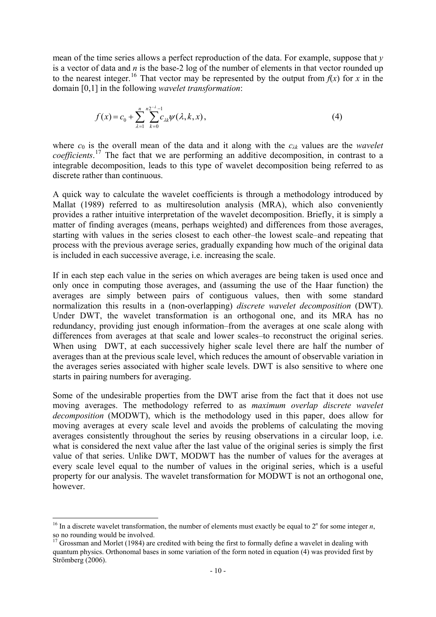mean of the time series allows a perfect reproduction of the data. For example, suppose that *y* is a vector of data and *n* is the base-2 log of the number of elements in that vector rounded up to the nearest integer.<sup>[16](#page-9-0)</sup> That vector may be represented by the output from  $f(x)$  for  $x$  in the domain [0,1] in the following *wavelet transformation*:

$$
f(x) = c_0 + \sum_{\lambda=1}^{n} \sum_{k=0}^{n} c_{\lambda k} \psi(\lambda, k, x), \qquad (4)
$$

where  $c_0$  is the overall mean of the data and it along with the  $c_{\lambda k}$  values are the *wavelet coefficients*. [17](#page-9-1) The fact that we are performing an additive decomposition, in contrast to a integrable decomposition, leads to this type of wavelet decomposition being referred to as discrete rather than continuous.

A quick way to calculate the wavelet coefficients is through a methodology introduced by Mallat (1989) referred to as multiresolution analysis (MRA), which also conveniently provides a rather intuitive interpretation of the wavelet decomposition. Briefly, it is simply a matter of finding averages (means, perhaps weighted) and differences from those averages, starting with values in the series closest to each other–the lowest scale–and repeating that process with the previous average series, gradually expanding how much of the original data is included in each successive average, i.e. increasing the scale.

If in each step each value in the series on which averages are being taken is used once and only once in computing those averages, and (assuming the use of the Haar function) the averages are simply between pairs of contiguous values, then with some standard normalization this results in a (non-overlapping) *discrete wavelet decomposition* (DWT). Under DWT, the wavelet transformation is an orthogonal one, and its MRA has no redundancy, providing just enough information–from the averages at one scale along with differences from averages at that scale and lower scales–to reconstruct the original series. When using DWT, at each successively higher scale level there are half the number of averages than at the previous scale level, which reduces the amount of observable variation in the averages series associated with higher scale levels. DWT is also sensitive to where one starts in pairing numbers for averaging.

Some of the undesirable properties from the DWT arise from the fact that it does not use moving averages. The methodology referred to as *maximum overlap discrete wavelet decomposition* (MODWT), which is the methodology used in this paper, does allow for moving averages at every scale level and avoids the problems of calculating the moving averages consistently throughout the series by reusing observations in a circular loop, i.e. what is considered the next value after the last value of the original series is simply the first value of that series. Unlike DWT, MODWT has the number of values for the averages at every scale level equal to the number of values in the original series, which is a useful property for our analysis. The wavelet transformation for MODWT is not an orthogonal one, however.

1

<span id="page-9-0"></span><sup>&</sup>lt;sup>16</sup> In a discrete wavelet transformation, the number of elements must exactly be equal to  $2<sup>n</sup>$  for some integer *n*, so no rounding would be involved.

<span id="page-9-1"></span><sup>&</sup>lt;sup>17</sup> Grossman and Morlet (1984) are credited with being the first to formally define a wavelet in dealing with quantum physics. Orthonomal bases in some variation of the form noted in equation (4) was provided first by Strömberg (2006).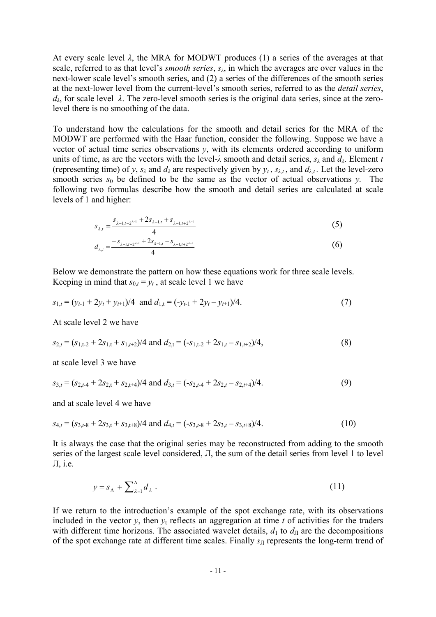At every scale level *λ*, the MRA for MODWT produces (1) a series of the averages at that scale, referred to as that level's *smooth series*, *sλ*, in which the averages are over values in the next-lower scale level's smooth series, and (2) a series of the differences of the smooth series at the next-lower level from the current-level's smooth series, referred to as the *detail series*,  $d<sub>λ</sub>$ , for scale level  $λ$ . The zero-level smooth series is the original data series, since at the zerolevel there is no smoothing of the data.

To understand how the calculations for the smooth and detail series for the MRA of the MODWT are performed with the Haar function, consider the following. Suppose we have a vector of actual time series observations *y*, with its elements ordered according to uniform units of time, as are the vectors with the level- $\lambda$  smooth and detail series,  $s_{\lambda}$  and  $d_{\lambda}$ . Element *t* (representing time) of *y*,  $s_\lambda$  and  $d_\lambda$  are respectively given by  $y_t$ ,  $s_{\lambda t}$ , and  $d_{\lambda t}$ . Let the level-zero smooth series  $s_0$  be defined to be the same as the vector of actual observations *y*. The following two formulas describe how the smooth and detail series are calculated at scale levels of 1 and higher:

$$
s_{\lambda,t} = \frac{s_{\lambda-1,t-2^{\lambda-1}} + 2s_{\lambda-1,t} + s_{\lambda-1,t+2^{\lambda-1}}}{4}
$$
 (5)

$$
d_{\lambda,t} = \frac{-s_{\lambda-1,t-2^{\lambda-1}} + 2s_{\lambda-1,t} - s_{\lambda-1,t+2^{\lambda-1}}}{4}
$$
(6)

Below we demonstrate the pattern on how these equations work for three scale levels. Keeping in mind that  $s_{0,t} = y_t$ , at scale level 1 we have

$$
s_{1,t} = (y_{t-1} + 2y_t + y_{t+1})/4 \text{ and } d_{1,t} = (-y_{t-1} + 2y_t - y_{t+1})/4. \tag{7}
$$

At scale level 2 we have

$$
s_{2,t} = (s_{1,t-2} + 2s_{1,t} + s_{1,t-2})/4 \text{ and } d_{2,t} = (-s_{1,t-2} + 2s_{1,t} - s_{1,t+2})/4,
$$
\n(8)

at scale level 3 we have

$$
s_{3,t} = (s_{2,t-4} + 2s_{2,t} + s_{2,t+4})/4 \text{ and } d_{3,t} = (-s_{2,t-4} + 2s_{2,t} - s_{2,t+4})/4.
$$
 (9)

and at scale level 4 we have

$$
s_{4,t} = (s_{3,t-8} + 2s_{3,t} + s_{3,t+8})/4 \text{ and } d_{4,t} = (-s_{3,t-8} + 2s_{3,t} - s_{3,t+8})/4. \tag{10}
$$

It is always the case that the original series may be reconstructed from adding to the smooth series of the largest scale level considered, Л, the sum of the detail series from level 1 to level Л, i.e.

$$
y = s_{\Lambda} + \sum_{\lambda=1}^{\Lambda} d_{\lambda} \tag{11}
$$

If we return to the introduction's example of the spot exchange rate, with its observations included in the vector  $y$ , then  $y_t$  reflects an aggregation at time  $t$  of activities for the traders with different time horizons. The associated wavelet details,  $d_1$  to  $d_{\text{I}}$  are the decompositions of the spot exchange rate at different time scales. Finally  $s<sub>II</sub>$  represents the long-term trend of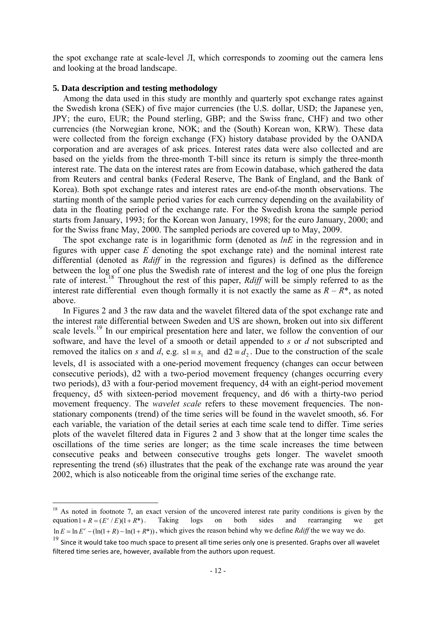the spot exchange rate at scale-level Л, which corresponds to zooming out the camera lens and looking at the broad landscape.

### **5. Data description and testing methodology**

1

Among the data used in this study are monthly and quarterly spot exchange rates against the Swedish krona (SEK) of five major currencies (the U.S. dollar, USD; the Japanese yen, JPY; the euro, EUR; the Pound sterling, GBP; and the Swiss franc, CHF) and two other currencies (the Norwegian krone, NOK; and the (South) Korean won, KRW). These data were collected from the foreign exchange (FX) history database provided by the OANDA corporation and are averages of ask prices. Interest rates data were also collected and are based on the yields from the three-month T-bill since its return is simply the three-month interest rate. The data on the interest rates are from Ecowin database, which gathered the data from Reuters and central banks (Federal Reserve, The Bank of England, and the Bank of Korea). Both spot exchange rates and interest rates are end-of-the month observations. The starting month of the sample period varies for each currency depending on the availability of data in the floating period of the exchange rate. For the Swedish krona the sample period starts from January, 1993; for the Korean won January, 1998; for the euro January, 2000; and for the Swiss franc May, 2000. The sampled periods are covered up to May, 2009.

The spot exchange rate is in logarithmic form (denoted as *lnE* in the regression and in figures with upper case *E* denoting the spot exchange rate) and the nominal interest rate differential (denoted as *Rdiff* in the regression and figures) is defined as the difference between the log of one plus the Swedish rate of interest and the log of one plus the foreign rate of interest.<sup>[18](#page-11-0)</sup> Throughout the rest of this paper, *Rdiff* will be simply referred to as the interest rate differential even though formally it is not exactly the same as  $R - R^*$ , as noted above.

In Figures 2 and 3 the raw data and the wavelet filtered data of the spot exchange rate and the interest rate differential between Sweden and US are shown, broken out into six different scale levels.<sup>[19](#page-11-1)</sup> In our empirical presentation here and later, we follow the convention of our software, and have the level of a smooth or detail appended to *s* or *d* not subscripted and removed the italics on *s* and *d*, e.g.  $s1 = s_1$  and  $d2 = d_2$ . Due to the construction of the scale levels, d1 is associated with a one-period movement frequency (changes can occur between consecutive periods), d2 with a two-period movement frequency (changes occurring every two periods), d3 with a four-period movement frequency, d4 with an eight-period movement frequency, d5 with sixteen-period movement frequency, and d6 with a thirty-two period movement frequency. The *wavelet scale* refers to these movement frequencies. The nonstationary components (trend) of the time series will be found in the wavelet smooth, s6. For each variable, the variation of the detail series at each time scale tend to differ. Time series plots of the wavelet filtered data in Figures 2 and 3 show that at the longer time scales the oscillations of the time series are longer; as the time scale increases the time between consecutive peaks and between consecutive troughs gets longer. The wavelet smooth representing the trend (s6) illustrates that the peak of the exchange rate was around the year 2002, which is also noticeable from the original time series of the exchange rate.

<span id="page-11-0"></span> $18$  As noted in footnote 7, an exact version of the uncovered interest rate parity conditions is given by the equation  $1 + R = (E^e / E)(1 + R^*)$ . Taking logs on both sides and rearranging we get  $\ln E = \ln E^e - (\ln(1 + R) - \ln(1 + R^*))$ , which gives the reason behind why we define *Rdiff* the we way we do.

<span id="page-11-1"></span> $19$  Since it would take too much space to present all time series only one is presented. Graphs over all wavelet filtered time series are, however, available from the authors upon request.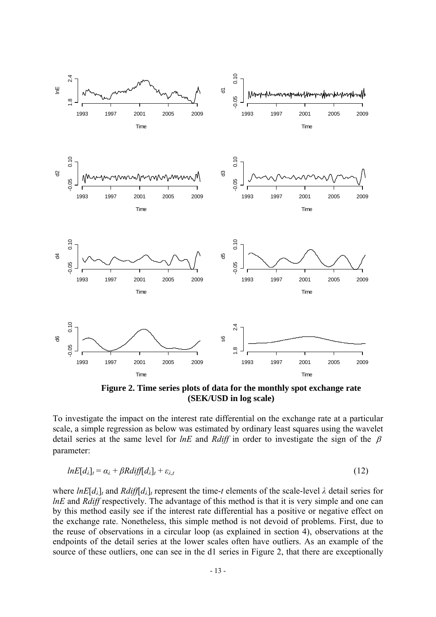

**Figure 2. Time series plots of data for the monthly spot exchange rate (SEK/USD in log scale)** 

To investigate the impact on the interest rate differential on the exchange rate at a particular scale, a simple regression as below was estimated by ordinary least squares using the wavelet detail series at the same level for *lnE* and *Rdiff* in order to investigate the sign of the β parameter:

$$
lnE[d_{\lambda}]_{t} = \alpha_{\lambda} + \beta Rdi\mathit{ff}[d_{\lambda}]_{t} + \varepsilon_{\lambda,t}
$$
\n(12)

where  $lnE[d_{\lambda}]$ *t* and  $Rdiff[d_{\lambda}]$ *t* represent the time-*t* elements of the scale-level  $\lambda$  detail series for *lnE* and *Rdiff* respectively. The advantage of this method is that it is very simple and one can by this method easily see if the interest rate differential has a positive or negative effect on the exchange rate. Nonetheless, this simple method is not devoid of problems. First, due to the reuse of observations in a circular loop (as explained in section 4), observations at the endpoints of the detail series at the lower scales often have outliers. As an example of the source of these outliers, one can see in the d1 series in Figure 2, that there are exceptionally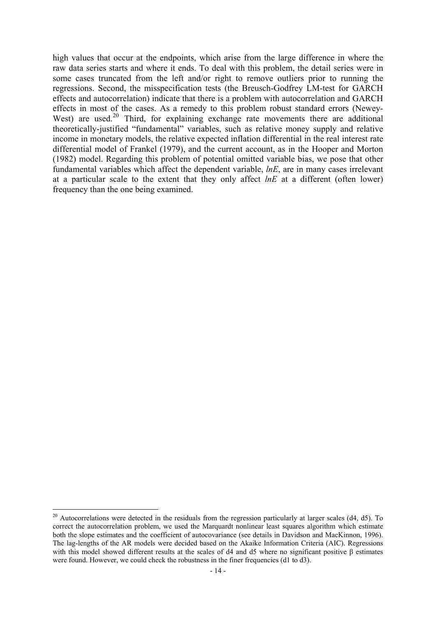high values that occur at the endpoints, which arise from the large difference in where the raw data series starts and where it ends. To deal with this problem, the detail series were in some cases truncated from the left and/or right to remove outliers prior to running the regressions. Second, the misspecification tests (the Breusch-Godfrey LM-test for GARCH effects and autocorrelation) indicate that there is a problem with autocorrelation and GARCH effects in most of the cases. As a remedy to this problem robust standard errors (Newey-West) are used.<sup>[20](#page-13-0)</sup> Third, for explaining exchange rate movements there are additional theoretically-justified "fundamental" variables, such as relative money supply and relative income in monetary models, the relative expected inflation differential in the real interest rate differential model of Frankel (1979), and the current account, as in the Hooper and Morton (1982) model. Regarding this problem of potential omitted variable bias, we pose that other fundamental variables which affect the dependent variable, *lnE*, are in many cases irrelevant at a particular scale to the extent that they only affect *lnE* at a different (often lower) frequency than the one being examined.

1

<span id="page-13-0"></span><sup>&</sup>lt;sup>20</sup> Autocorrelations were detected in the residuals from the regression particularly at larger scales (d4, d5). To correct the autocorrelation problem, we used the Marquardt nonlinear least squares algorithm which estimate both the slope estimates and the coefficient of autocovariance (see details in Davidson and MacKinnon, 1996). The lag-lengths of the AR models were decided based on the Akaike Information Criteria (AIC). Regressions with this model showed different results at the scales of d4 and d5 where no significant positive β estimates were found. However, we could check the robustness in the finer frequencies (d1 to d3).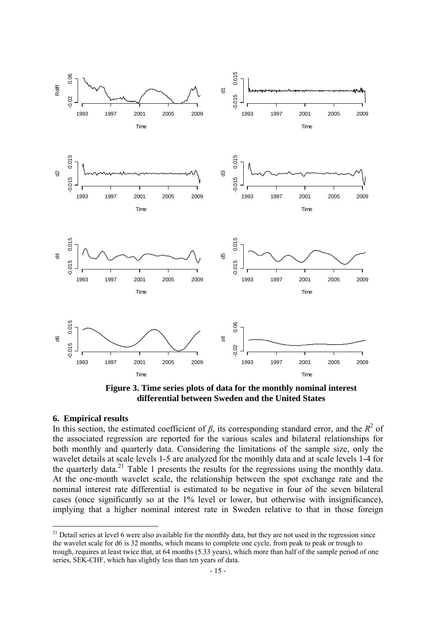

**Figure 3. Time series plots of data for the monthly nominal interest differential between Sweden and the United States** 

#### **6. Empirical results**

<u>.</u>

In this section, the estimated coefficient of  $\beta$ , its corresponding standard error, and the  $R^2$  of the associated regression are reported for the various scales and bilateral relationships for both monthly and quarterly data. Considering the limitations of the sample size, only the wavelet details at scale levels 1-5 are analyzed for the monthly data and at scale levels 1-4 for the quarterly data.[21](#page-14-0) Table 1 presents the results for the regressions using the monthly data. At the one-month wavelet scale, the relationship between the spot exchange rate and the nominal interest rate differential is estimated to be negative in four of the seven bilateral cases (once significantly so at the 1% level or lower, but otherwise with insignificance), implying that a higher nominal interest rate in Sweden relative to that in those foreign

<span id="page-14-0"></span> $21$  Detail series at level 6 were also available for the monthly data, but they are not used in the regression since the wavelet scale for d6 is 32 months, which means to complete one cycle, from peak to peak or trough to trough, requires at least twice that, at 64 months (5.33 years), which more than half of the sample period of one series, SEK-CHF, which has slightly less than ten years of data.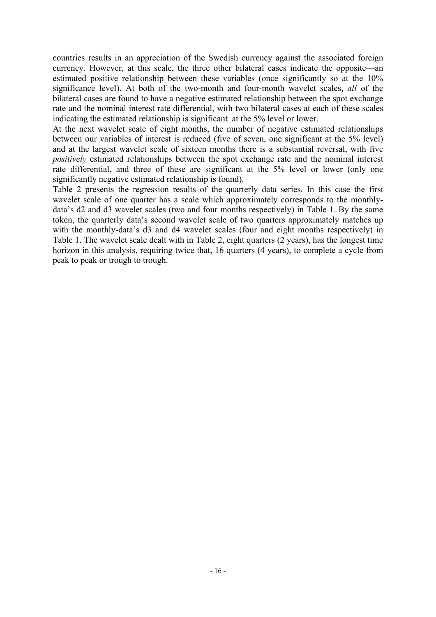countries results in an appreciation of the Swedish currency against the associated foreign currency. However, at this scale, the three other bilateral cases indicate the opposite—an estimated positive relationship between these variables (once significantly so at the 10% significance level). At both of the two-month and four-month wavelet scales, *all* of the bilateral cases are found to have a negative estimated relationship between the spot exchange rate and the nominal interest rate differential, with two bilateral cases at each of these scales indicating the estimated relationship is significant at the 5% level or lower.

At the next wavelet scale of eight months, the number of negative estimated relationships between our variables of interest is reduced (five of seven, one significant at the 5% level) and at the largest wavelet scale of sixteen months there is a substantial reversal, with five *positively* estimated relationships between the spot exchange rate and the nominal interest rate differential, and three of these are significant at the 5% level or lower (only one significantly negative estimated relationship is found).

Table 2 presents the regression results of the quarterly data series. In this case the first wavelet scale of one quarter has a scale which approximately corresponds to the monthlydata's d2 and d3 wavelet scales (two and four months respectively) in Table 1. By the same token, the quarterly data's second wavelet scale of two quarters approximately matches up with the monthly-data's d3 and d4 wavelet scales (four and eight months respectively) in Table 1. The wavelet scale dealt with in Table 2, eight quarters (2 years), has the longest time horizon in this analysis, requiring twice that, 16 quarters (4 years), to complete a cycle from peak to peak or trough to trough.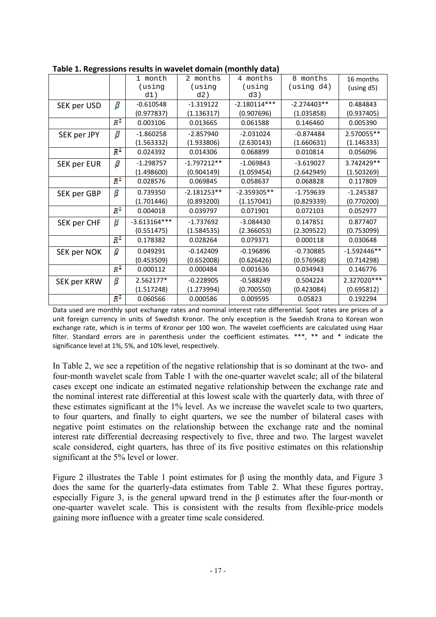|             |               | 1 month        | 2 months      | 4 months       | 8 months       | 16 months     |  |  |  |
|-------------|---------------|----------------|---------------|----------------|----------------|---------------|--|--|--|
|             |               | (using         | (using        | (using         | $(u\sin g d4)$ | (using d5)    |  |  |  |
|             |               | d1)            | d2)           | d3)            |                |               |  |  |  |
| SEK per USD | β             | $-0.610548$    | $-1.319122$   | $-2.180114***$ | $-2.274403**$  | 0.484843      |  |  |  |
|             |               | (0.977837)     | (1.136317)    | (0.907696)     | (1.035858)     | (0.937405)    |  |  |  |
|             | $R^2$         | 0.003106       | 0.013665      | 0.061588       | 0.146460       | 0.005390      |  |  |  |
| SEK per JPY | β             | $-1.860258$    | $-2.857940$   | $-2.031024$    | $-0.874484$    | 2.570055**    |  |  |  |
|             |               | (1.563332)     | (1.933806)    | (2.630143)     | (1.660631)     | (1.146333)    |  |  |  |
|             | $R^2$         | 0.024392       | 0.014306      | 0.068899       | 0.010814       | 0.056096      |  |  |  |
| SEK per EUR | β             | $-1.298757$    | $-1.797212**$ | $-1.069843$    | $-3.619027$    | 3.742429**    |  |  |  |
|             |               | (1.498600)     | (0.904149)    | (1.059454)     | (2.642949)     | (1.503269)    |  |  |  |
|             | $R^2$         | 0.028576       | 0.069845      | 0.058637       | 0.068828       | 0.117809      |  |  |  |
| SEK per GBP | $\beta$       | 0.739350       | $-2.181253**$ | $-2.359305**$  | $-1.759639$    | $-1.245387$   |  |  |  |
|             |               | (1.701446)     | (0.893200)    | (1.157041)     | (0.829339)     | (0.770200)    |  |  |  |
|             | $R^2$         | 0.004018       | 0.039797      | 0.071901       | 0.072103       | 0.052977      |  |  |  |
| SEK per CHF | β             | $-3.613164***$ | $-1.737692$   | $-3.084430$    | 0.147851       | 0.877407      |  |  |  |
|             |               | (0.551475)     | (1.584535)    | (2.366053)     | (2.309522)     | (0.753099)    |  |  |  |
|             | $R^2$         | 0.178382       | 0.028264      | 0.079371       | 0.000118       | 0.030648      |  |  |  |
| SEK per NOK | $\pmb{\beta}$ | 0.049291       | $-0.142409$   | $-0.196896$    | $-0.730885$    | $-1.592446**$ |  |  |  |
|             |               | (0.453509)     | (0.652008)    | (0.626426)     | (0.576968)     | (0.714298)    |  |  |  |
|             | $R^2$         | 0.000112       | 0.000484      | 0.001636       | 0.034943       | 0.146776      |  |  |  |
| SEK per KRW | β             | 2.562177*      | $-0.228905$   | $-0.588249$    | 0.504224       | 2.327020 ***  |  |  |  |
|             |               | (1.517248)     | (1.273994)    | (0.700550)     | (0.423084)     | (0.695812)    |  |  |  |
|             | $R^2$         | 0.060566       | 0.000586      | 0.009595       | 0.05823        | 0.192294      |  |  |  |

**Table 1. Regressions results in wavelet domain (monthly data)** 

Data used are monthly spot exchange rates and nominal interest rate differential. Spot rates are prices of a unit foreign currency in units of Swedish Kronor. The only exception is the Swedish Krona to Korean won exchange rate, which is in terms of Kronor per 100 won. The wavelet coefficients are calculated using Haar filter. Standard errors are in parenthesis under the coefficient estimates. \*\*\*, \*\* and \* indicate the significance level at 1%, 5%, and 10% level, respectively.

In Table 2, we see a repetition of the negative relationship that is so dominant at the two- and four-month wavelet scale from Table 1 with the one-quarter wavelet scale; all of the bilateral cases except one indicate an estimated negative relationship between the exchange rate and the nominal interest rate differential at this lowest scale with the quarterly data, with three of these estimates significant at the 1% level. As we increase the wavelet scale to two quarters, to four quarters, and finally to eight quarters, we see the number of bilateral cases with negative point estimates on the relationship between the exchange rate and the nominal interest rate differential decreasing respectively to five, three and two. The largest wavelet scale considered, eight quarters, has three of its five positive estimates on this relationship significant at the 5% level or lower.

Figure 2 illustrates the Table 1 point estimates for β using the monthly data, and Figure 3 does the same for the quarterly-data estimates from Table 2. What these figures portray, especially Figure 3, is the general upward trend in the β estimates after the four-month or one-quarter wavelet scale. This is consistent with the results from flexible-price models gaining more influence with a greater time scale considered.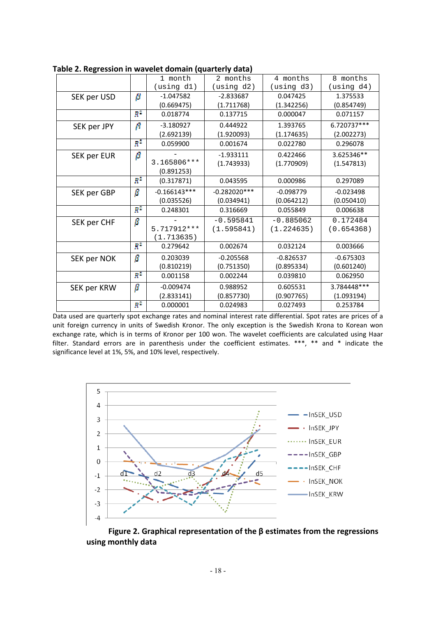|             |                | . .            |                |             |              |
|-------------|----------------|----------------|----------------|-------------|--------------|
|             |                | 1 month        | 2 months       | 4 months    | 8 months     |
|             |                | (using d1)     | (using d2)     | (using d3)  | (using d4)   |
| SEK per USD | β              | $-1.047582$    | $-2.833687$    | 0.047425    | 1.375533     |
|             |                | (0.669475)     | (1.711768)     | (1.342256)  | (0.854749)   |
|             | $R^2$          | 0.018774       | 0.137715       | 0.000047    | 0.071157     |
| SEK per JPY | β              | $-3.180927$    | 0.444922       | 1.393765    | 6.720737***  |
|             |                | (2.692139)     | (1.920093)     | (1.174635)  | (2.002273)   |
|             | Пł             | 0.059900       | 0.001674       | 0.022780    | 0.296078     |
| SEK per EUR | β              |                | $-1.933111$    | 0.422466    | 3.625346**   |
|             |                | 3.165806 ***   | (1.743933)     | (1.770909)  | (1.547813)   |
|             |                | (0.891253)     |                |             |              |
|             | $R^2$          | (0.317871)     | 0.043595       | 0.000986    | 0.297089     |
| SEK per GBP | β              | $-0.166143***$ | $-0.282020***$ | $-0.098779$ | $-0.023498$  |
|             |                | (0.035526)     | (0.034941)     | (0.064212)  | (0.050410)   |
|             | ŖΆ             | 0.248301       | 0.316669       | 0.055849    | 0.006638     |
| SEK per CHF | β              |                | $-0.595841$    | $-0.885062$ | 0.172484     |
|             |                | 5.717912 ***   | (1.595841)     | (1.224635)  | (0.654368)   |
|             |                | (1.713635)     |                |             |              |
|             | $\mathbb{R}^2$ | 0.279642       | 0.002674       | 0.032124    | 0.003666     |
| SEK per NOK | β              | 0.203039       | $-0.205568$    | $-0.826537$ | $-0.675303$  |
|             |                | (0.810219)     | (0.751350)     | (0.895334)  | (0.601240)   |
|             | $\mathbb{R}^2$ | 0.001158       | 0.002244       | 0.039810    | 0.062950     |
| SEK per KRW | β              | $-0.009474$    | 0.988952       | 0.605531    | 3.784448 *** |
|             |                | (2.833141)     | (0.857730)     | (0.907765)  | (1.093194)   |
|             | $R^2$          | 0.000001       | 0.024983       | 0.027493    | 0.253784     |

**Table 2. Regression in wavelet domain (quarterly data)** 

Data used are quarterly spot exchange rates and nominal interest rate differential. Spot rates are prices of a unit foreign currency in units of Swedish Kronor. The only exception is the Swedish Krona to Korean won exchange rate, which is in terms of Kronor per 100 won. The wavelet coefficients are calculated using Haar filter. Standard errors are in parenthesis under the coefficient estimates. \*\*\*, \*\* and \* indicate the significance level at 1%, 5%, and 10% level, respectively.



 **Figure 2. Graphical representation of the β estimates from the regressions using monthly data**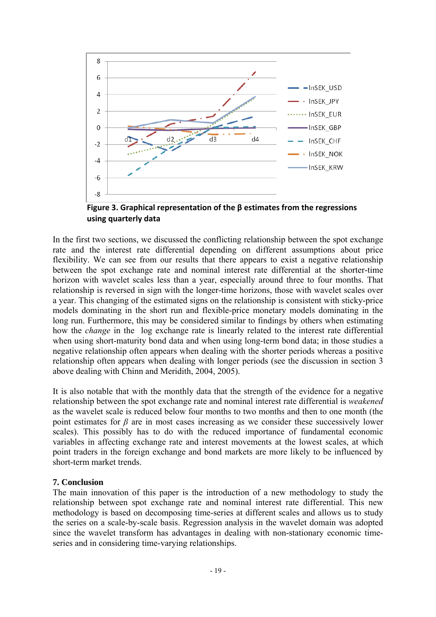

 **using quarterly data**

In the first two sections, we discussed the conflicting relationship between the spot exchange rate and the interest rate differential depending on different assumptions about price flexibility. We can see from our results that there appears to exist a negative relationship between the spot exchange rate and nominal interest rate differential at the shorter-time horizon with wavelet scales less than a year, especially around three to four months. That relationship is reversed in sign with the longer-time horizons, those with wavelet scales over a year. This changing of the estimated signs on the relationship is consistent with sticky-price models dominating in the short run and flexible-price monetary models dominating in the long run. Furthermore, this may be considered similar to findings by others when estimating how the *change* in the log exchange rate is linearly related to the interest rate differential when using short-maturity bond data and when using long-term bond data; in those studies a negative relationship often appears when dealing with the shorter periods whereas a positive relationship often appears when dealing with longer periods (see the discussion in section 3 above dealing with Chinn and Meridith, 2004, 2005).

It is also notable that with the monthly data that the strength of the evidence for a negative relationship between the spot exchange rate and nominal interest rate differential is *weakened*  as the wavelet scale is reduced below four months to two months and then to one month (the point estimates for  $\beta$  are in most cases increasing as we consider these successively lower scales). This possibly has to do with the reduced importance of fundamental economic variables in affecting exchange rate and interest movements at the lowest scales, at which point traders in the foreign exchange and bond markets are more likely to be influenced by short-term market trends.

## **7. Conclusion**

The main innovation of this paper is the introduction of a new methodology to study the relationship between spot exchange rate and nominal interest rate differential. This new methodology is based on decomposing time-series at different scales and allows us to study the series on a scale-by-scale basis. Regression analysis in the wavelet domain was adopted since the wavelet transform has advantages in dealing with non-stationary economic timeseries and in considering time-varying relationships.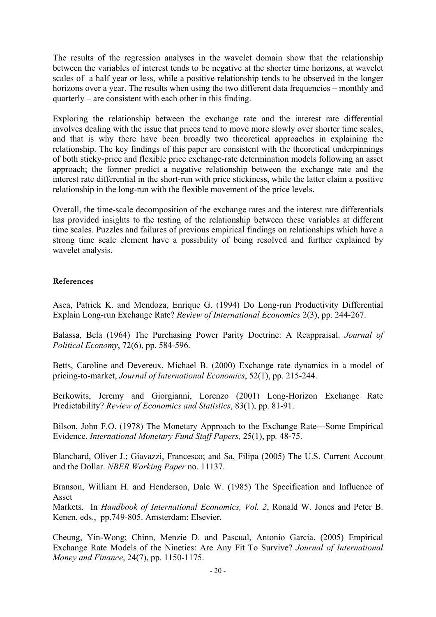The results of the regression analyses in the wavelet domain show that the relationship between the variables of interest tends to be negative at the shorter time horizons, at wavelet scales of a half year or less, while a positive relationship tends to be observed in the longer horizons over a year. The results when using the two different data frequencies – monthly and quarterly – are consistent with each other in this finding.

Exploring the relationship between the exchange rate and the interest rate differential involves dealing with the issue that prices tend to move more slowly over shorter time scales, and that is why there have been broadly two theoretical approaches in explaining the relationship. The key findings of this paper are consistent with the theoretical underpinnings of both sticky-price and flexible price exchange-rate determination models following an asset approach; the former predict a negative relationship between the exchange rate and the interest rate differential in the short-run with price stickiness, while the latter claim a positive relationship in the long-run with the flexible movement of the price levels.

Overall, the time-scale decomposition of the exchange rates and the interest rate differentials has provided insights to the testing of the relationship between these variables at different time scales. Puzzles and failures of previous empirical findings on relationships which have a strong time scale element have a possibility of being resolved and further explained by wavelet analysis.

## **References**

Asea, Patrick K. and Mendoza, Enrique G. (1994) Do Long-run Productivity Differential Explain Long-run Exchange Rate? *Review of International Economics* 2(3), pp. 244-267.

Balassa, Bela (1964) The Purchasing Power Parity Doctrine: A Reappraisal. *Journal of Political Economy*, 72(6), pp. 584-596.

Betts, Caroline and Devereux, Michael B. (2000) Exchange rate dynamics in a model of pricing-to-market, *Journal of International Economics*, 52(1), pp. 215-244.

Berkowits, Jeremy and Giorgianni, Lorenzo (2001) Long-Horizon Exchange Rate Predictability? *Review of Economics and Statistics*, 83(1), pp. 81-91.

Bilson, John F.O. (1978) The Monetary Approach to the Exchange Rate—Some Empirical Evidence. *International Monetary Fund Staff Papers,* 25(1), pp*.* 48-75.

Blanchard, Oliver J.; Giavazzi, Francesco; and Sa, Filipa (2005) The U.S. Current Account and the Dollar. *NBER Working Paper* no. 11137.

Branson, William H. and Henderson, Dale W. (1985) The Specification and Influence of Asset

Markets. In *Handbook of International Economics, Vol. 2*, Ronald W. Jones and Peter B. Kenen, eds., pp.749-805. Amsterdam: Elsevier.

Cheung, Yin-Wong; Chinn, Menzie D. and Pascual, Antonio Garcia. (2005) Empirical Exchange Rate Models of the Nineties: Are Any Fit To Survive? *Journal of International Money and Finance*, 24(7), pp. 1150-1175.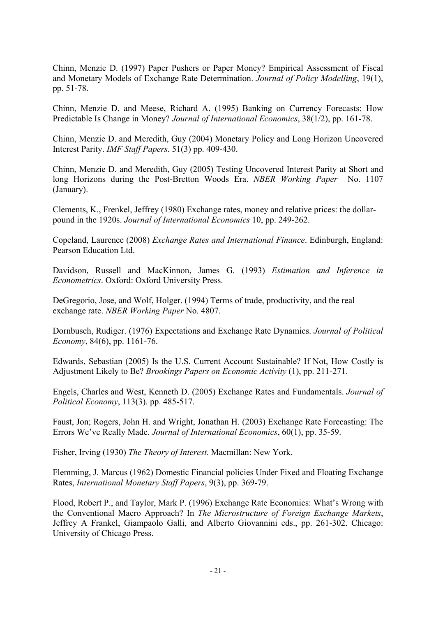Chinn, Menzie D. (1997) Paper Pushers or Paper Money? Empirical Assessment of Fiscal and Monetary Models of Exchange Rate Determination. *Journal of Policy Modelling*, 19(1), pp. 51-78.

Chinn, Menzie D. and Meese, Richard A. (1995) Banking on Currency Forecasts: How Predictable Is Change in Money? *Journal of International Economics*, 38(1/2), pp. 161-78.

Chinn, Menzie D. and Meredith, Guy (2004) Monetary Policy and Long Horizon Uncovered Interest Parity. *IMF Staff Papers*. 51(3) pp. 409-430.

Chinn, Menzie D. and Meredith, Guy (2005) Testing Uncovered Interest Parity at Short and long Horizons during the Post-Bretton Woods Era. *NBER Working Paper* No. 1107 (January).

Clements, K., Frenkel, Jeffrey (1980) Exchange rates, money and relative prices: the dollarpound in the 1920s. *Journal of International Economics* 10, pp. 249-262.

Copeland, Laurence (2008) *Exchange Rates and International Finance*. Edinburgh, England: Pearson Education Ltd.

Davidson, Russell and MacKinnon, James G. (1993) *Estimation and Inference in Econometrics*. Oxford: Oxford University Press.

DeGregorio, Jose, and Wolf, Holger. (1994) Terms of trade, productivity, and the real exchange rate. *NBER Working Paper* No. 4807.

Dornbusch, Rudiger. (1976) Expectations and Exchange Rate Dynamics. *Journal of Political Economy*, 84(6), pp. 1161-76.

Edwards, Sebastian (2005) Is the U.S. Current Account Sustainable? If Not, How Costly is Adjustment Likely to Be? *Brookings Papers on Economic Activity* (1), pp. 211-271.

Engels, Charles and West, Kenneth D. (2005) Exchange Rates and Fundamentals. *Journal of Political Economy*, 113(3). pp. 485-517.

Faust, Jon; Rogers, John H. and Wright, Jonathan H. (2003) Exchange Rate Forecasting: The Errors We've Really Made. *Journal of International Economics*, 60(1), pp. 35-59.

Fisher, Irving (1930) *The Theory of Interest.* Macmillan: New York.

Flemming, J. Marcus (1962) Domestic Financial policies Under Fixed and Floating Exchange Rates, *International Monetary Staff Papers*, 9(3), pp. 369-79.

Flood, Robert P., and Taylor, Mark P. (1996) Exchange Rate Economics: What's Wrong with the Conventional Macro Approach? In *The Microstructure of Foreign Exchange Markets*, Jeffrey A Frankel, Giampaolo Galli, and Alberto Giovannini eds., pp. 261-302. Chicago: University of Chicago Press.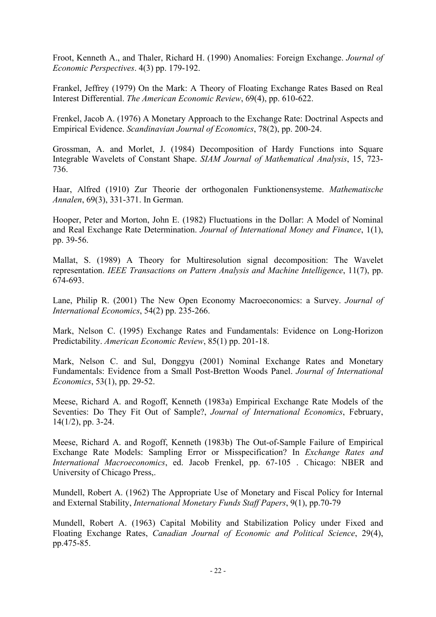Froot, Kenneth A., and Thaler, Richard H. (1990) Anomalies: Foreign Exchange. *Journal of Economic Perspectives*. 4(3) pp. 179-192.

Frankel, Jeffrey (1979) On the Mark: A Theory of Floating Exchange Rates Based on Real Interest Differential. *The American Economic Review*, 69(4), pp. 610-622.

Frenkel, Jacob A. (1976) A Monetary Approach to the Exchange Rate: Doctrinal Aspects and Empirical Evidence. *Scandinavian Journal of Economics*, 78(2), pp. 200-24.

Grossman, A. and Morlet, J. (1984) Decomposition of Hardy Functions into Square Integrable Wavelets of Constant Shape. *SIAM Journal of Mathematical Analysis*, 15, 723- 736.

Haar, Alfred (1910) Zur Theorie der orthogonalen Funktionensysteme. *Mathematische Annalen*, 69(3), 331-371. In German.

Hooper, Peter and Morton, John E. (1982) Fluctuations in the Dollar: A Model of Nominal and Real Exchange Rate Determination. *Journal of International Money and Finance*, 1(1), pp. 39-56.

Mallat, S. (1989) A Theory for Multiresolution signal decomposition: The Wavelet representation. *IEEE Transactions on Pattern Analysis and Machine Intelligence*, 11(7), pp. 674-693.

Lane, Philip R. (2001) The New Open Economy Macroeconomics: a Survey. *Journal of International Economics*, 54(2) pp. 235-266.

Mark, Nelson C. (1995) Exchange Rates and Fundamentals: Evidence on Long-Horizon Predictability. *American Economic Review*, 85(1) pp. 201-18.

Mark, Nelson C. and Sul, Donggyu (2001) Nominal Exchange Rates and Monetary Fundamentals: Evidence from a Small Post-Bretton Woods Panel. *Journal of International Economics*, 53(1), pp. 29-52.

Meese, Richard A. and Rogoff, Kenneth (1983a) Empirical Exchange Rate Models of the Seventies: Do They Fit Out of Sample?, *Journal of International Economics*, February, 14(1/2), pp. 3-24.

Meese, Richard A. and Rogoff, Kenneth (1983b) The Out-of-Sample Failure of Empirical Exchange Rate Models: Sampling Error or Misspecification? In *Exchange Rates and International Macroeconomics*, ed. Jacob Frenkel, pp. 67-105 . Chicago: NBER and University of Chicago Press,.

Mundell, Robert A. (1962) The Appropriate Use of Monetary and Fiscal Policy for Internal and External Stability, *International Monetary Funds Staff Papers*, 9(1), pp.70-79

Mundell, Robert A. (1963) Capital Mobility and Stabilization Policy under Fixed and Floating Exchange Rates, *Canadian Journal of Economic and Political Science*, 29(4), pp.475-85.